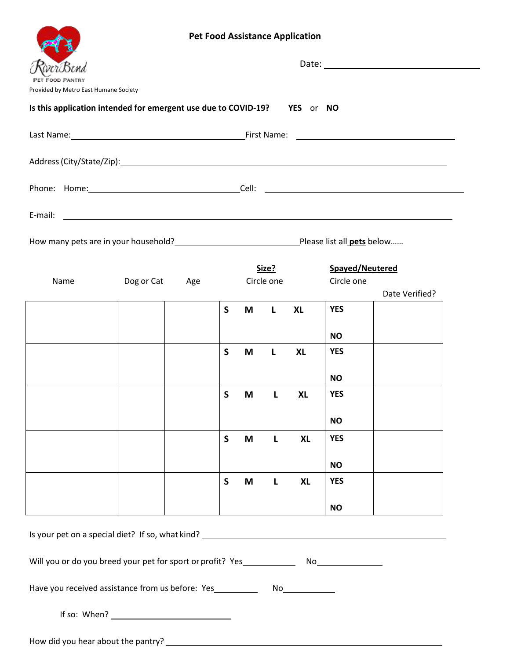|                                                                                                                                                                                                                                |  |  |                     |       |   | <b>Pet Food Assistance Application</b> |                               |                |  |
|--------------------------------------------------------------------------------------------------------------------------------------------------------------------------------------------------------------------------------|--|--|---------------------|-------|---|----------------------------------------|-------------------------------|----------------|--|
|                                                                                                                                                                                                                                |  |  |                     |       |   |                                        |                               |                |  |
| Provided by Metro East Humane Society                                                                                                                                                                                          |  |  |                     |       |   |                                        |                               |                |  |
| Is this application intended for emergent use due to COVID-19? YES or NO                                                                                                                                                       |  |  |                     |       |   |                                        |                               |                |  |
|                                                                                                                                                                                                                                |  |  |                     |       |   |                                        |                               |                |  |
|                                                                                                                                                                                                                                |  |  |                     |       |   |                                        |                               |                |  |
|                                                                                                                                                                                                                                |  |  |                     |       |   |                                        |                               |                |  |
| E-mail: example and a series of the series of the series of the series of the series of the series of the series of the series of the series of the series of the series of the series of the series of the series of the seri |  |  |                     |       |   |                                        |                               |                |  |
| How many pets are in your household?<br><u> How many pets are in your household?</u><br><u> Letter and the manual pets below</u>                                                                                               |  |  |                     |       |   |                                        |                               |                |  |
| Name<br>Dog or Cat<br>Age                                                                                                                                                                                                      |  |  | Size?<br>Circle one |       |   |                                        | Spayed/Neutered<br>Circle one |                |  |
|                                                                                                                                                                                                                                |  |  | $\mathsf{S}$        | M     | L | <b>XL</b>                              | <b>YES</b>                    | Date Verified? |  |
|                                                                                                                                                                                                                                |  |  |                     |       |   |                                        |                               |                |  |
|                                                                                                                                                                                                                                |  |  |                     |       |   |                                        | <b>NO</b>                     |                |  |
|                                                                                                                                                                                                                                |  |  | S                   | M     | L | <b>XL</b>                              | <b>YES</b>                    |                |  |
|                                                                                                                                                                                                                                |  |  |                     |       |   |                                        | <b>NO</b>                     |                |  |
|                                                                                                                                                                                                                                |  |  |                     | S M L |   | <b>XL</b>                              | <b>YES</b>                    |                |  |
|                                                                                                                                                                                                                                |  |  |                     |       |   |                                        | <b>NO</b>                     |                |  |
|                                                                                                                                                                                                                                |  |  | $\mathsf{S}$        | M     | L | <b>XL</b>                              | <b>YES</b>                    |                |  |
|                                                                                                                                                                                                                                |  |  |                     |       |   |                                        | <b>NO</b>                     |                |  |
|                                                                                                                                                                                                                                |  |  | $\mathsf{S}$        | M     | L | <b>XL</b>                              | <b>YES</b>                    |                |  |
|                                                                                                                                                                                                                                |  |  |                     |       |   |                                        | <b>NO</b>                     |                |  |
| Is your pet on a special diet? If so, what kind? ________________________________                                                                                                                                              |  |  |                     |       |   |                                        |                               |                |  |
|                                                                                                                                                                                                                                |  |  |                     |       |   |                                        |                               |                |  |
| Have you received assistance from us before: Yes _______________________________                                                                                                                                               |  |  |                     |       |   |                                        |                               |                |  |
| If so: When? $\_$                                                                                                                                                                                                              |  |  |                     |       |   |                                        |                               |                |  |

How did you hear about the pantry?